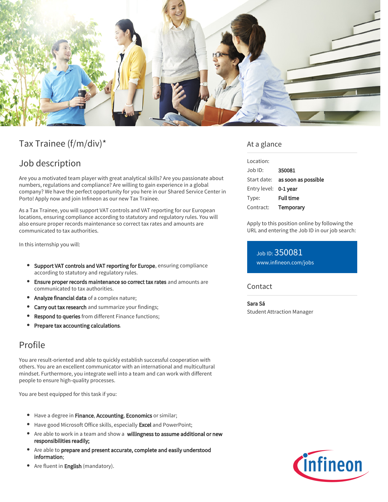

# Tax Trainee (f/m/div)\*

### Job description

Are you a motivated team player with great analytical skills? Are you passionate about numbers, regulations and compliance? Are willing to gain experience in a global company? We have the perfect opportunity for you here in our Shared Service Center in Porto! Apply now and join Infineon as our new Tax Trainee.

As a Tax Trainee, you will support VAT controls and VAT reporting for our European locations, ensuring compliance according to statutory and regulatory rules. You will also ensure proper records maintenance so correct tax rates and amounts are communicated to tax authorities.

In this internship you will:

- **Support VAT controls and VAT reporting for Europe**, ensuring compliance according to statutory and regulatory rules.
- Ensure proper records maintenance so correct tax rates and amounts are communicated to tax authorities.
- Analyze financial data of a complex nature;
- Carry out tax research and summarize your findings;
- **Respond to queries** from different Finance functions;
- Prepare tax accounting calculations.

### Profile

You are result-oriented and able to quickly establish successful cooperation with others. You are an excellent communicator with an international and multicultural mindset. Furthermore, you integrate well into a team and can work with different people to ensure high-quality processes.

You are best equipped for this task if you:

- Have a degree in Finance, Accounting, Economics or similar;
- Have good Microsoft Office skills, especially Excel and PowerPoint;
- Are able to work in a team and show a willingness to assume additional or new responsibilities readily;
- Are able to prepare and present accurate, complete and easily understood information;
- Are fluent in **English** (mandatory).

### At a glance

| Location:             |                                 |
|-----------------------|---------------------------------|
| Job ID:               | 350081                          |
|                       | Start date: as soon as possible |
| Entry level: 0-1 year |                                 |
| Type:                 | <b>Full time</b>                |
| Contract:             | Temporary                       |
|                       |                                 |

Apply to this position online by following the URL and entering the Job ID in our job search:

Job ID: 350081 [www.infineon.com/jobs](https://www.infineon.com/jobs)

#### **Contact**

Sara Sá

Student Attraction Manager